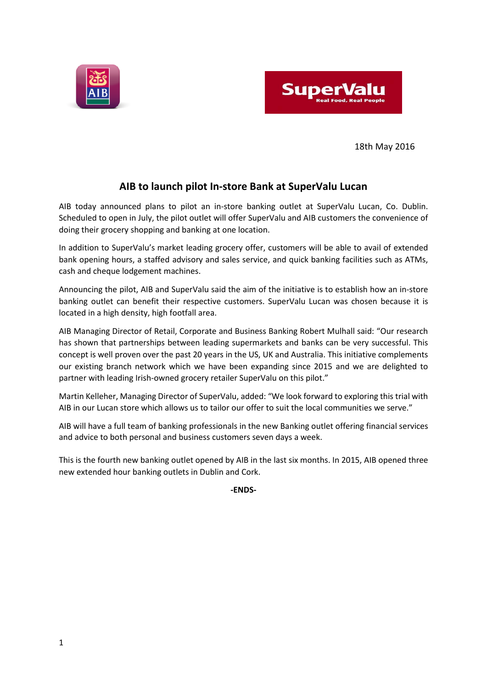



18th May 2016

# **AIB to launch pilot In-store Bank at SuperValu Lucan**

AIB today announced plans to pilot an in-store banking outlet at SuperValu Lucan, Co. Dublin. Scheduled to open in July, the pilot outlet will offer SuperValu and AIB customers the convenience of doing their grocery shopping and banking at one location.

In addition to SuperValu's market leading grocery offer, customers will be able to avail of extended bank opening hours, a staffed advisory and sales service, and quick banking facilities such as ATMs, cash and cheque lodgement machines.

Announcing the pilot, AIB and SuperValu said the aim of the initiative is to establish how an in-store banking outlet can benefit their respective customers. SuperValu Lucan was chosen because it is located in a high density, high footfall area.

AIB Managing Director of Retail, Corporate and Business Banking Robert Mulhall said: "Our research has shown that partnerships between leading supermarkets and banks can be very successful. This concept is well proven over the past 20 years in the US, UK and Australia. This initiative complements our existing branch network which we have been expanding since 2015 and we are delighted to partner with leading Irish-owned grocery retailer SuperValu on this pilot."

Martin Kelleher, Managing Director of SuperValu, added: "We look forward to exploring this trial with AIB in our Lucan store which allows us to tailor our offer to suit the local communities we serve."

AIB will have a full team of banking professionals in the new Banking outlet offering financial services and advice to both personal and business customers seven days a week.

This is the fourth new banking outlet opened by AIB in the last six months. In 2015, AIB opened three new extended hour banking outlets in Dublin and Cork.

**-ENDS-**